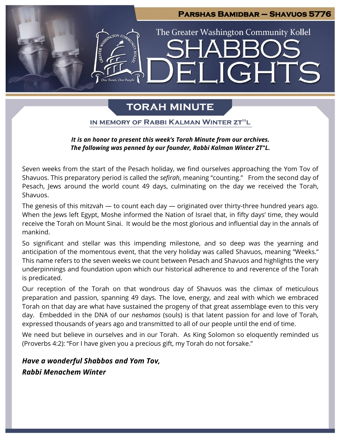

# **TORAH MINUTE**

IN MEMORY OF RABBI KALMAN WINTER ZT"L

# *It is an honor to present this week's Torah Minute from our archives. The following was penned by our founder, Rabbi Kalman Winter ZT"L.*

Seven weeks from the start of the Pesach holiday, we find ourselves approaching the Yom Tov of Shavuos. This preparatory period is called the *sefirah*, meaning "counting." From the second day of Pesach, Jews around the world count 49 days, culminating on the day we received the Torah, Shavuos.

The genesis of this mitzvah — to count each day — originated over thirty-three hundred years ago. When the Jews left Egypt, Moshe informed the Nation of Israel that, in fifty days' time, they would receive the Torah on Mount Sinai. It would be the most glorious and influential day in the annals of mankind.

So significant and stellar was this impending milestone, and so deep was the yearning and anticipation of the momentous event, that the very holiday was called Shavuos, meaning "Weeks." This name refers to the seven weeks we count between Pesach and Shavuos and highlights the very underpinnings and foundation upon which our historical adherence to and reverence of the Torah is predicated.

Our reception of the Torah on that wondrous day of Shavuos was the climax of meticulous preparation and passion, spanning 49 days. The love, energy, and zeal with which we embraced Torah on that day are what have sustained the progeny of that great assemblage even to this very day. Embedded in the DNA of our *neshamos* (souls) is that latent passion for and love of Torah, expressed thousands of years ago and transmitted to all of our people until the end of time.

We need but believe in ourselves and in our Torah. As King Solomon so eloquently reminded us (Proverbs 4:2): "For I have given you a precious gift, my Torah do not forsake."

*Have a wonderful Shabbos and Yom Tov, Rabbi Menachem Winter*